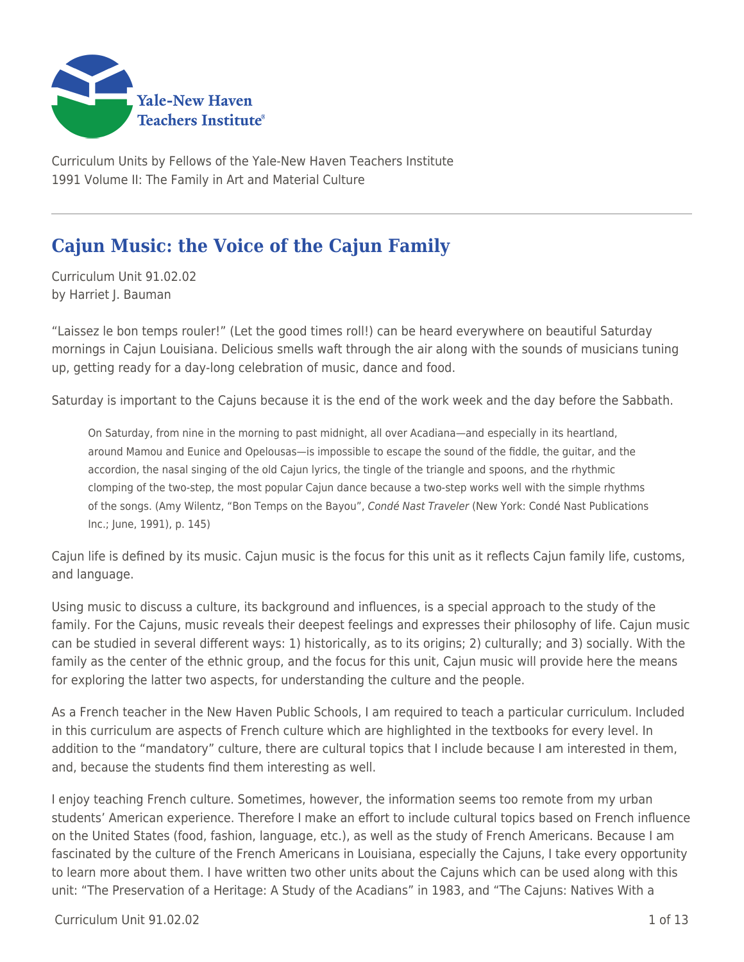

Curriculum Units by Fellows of the Yale-New Haven Teachers Institute 1991 Volume II: The Family in Art and Material Culture

# **Cajun Music: the Voice of the Cajun Family**

Curriculum Unit 91.02.02 by Harriet J. Bauman

"Laissez le bon temps rouler!" (Let the good times roll!) can be heard everywhere on beautiful Saturday mornings in Cajun Louisiana. Delicious smells waft through the air along with the sounds of musicians tuning up, getting ready for a day-long celebration of music, dance and food.

Saturday is important to the Cajuns because it is the end of the work week and the day before the Sabbath.

On Saturday, from nine in the morning to past midnight, all over Acadiana—and especially in its heartland, around Mamou and Eunice and Opelousas—is impossible to escape the sound of the fiddle, the guitar, and the accordion, the nasal singing of the old Cajun lyrics, the tingle of the triangle and spoons, and the rhythmic clomping of the two-step, the most popular Cajun dance because a two-step works well with the simple rhythms of the songs. (Amy Wilentz, "Bon Temps on the Bayou", Condé Nast Traveler (New York: Condé Nast Publications Inc.; June, 1991), p. 145)

Cajun life is defined by its music. Cajun music is the focus for this unit as it reflects Cajun family life, customs, and language.

Using music to discuss a culture, its background and influences, is a special approach to the study of the family. For the Cajuns, music reveals their deepest feelings and expresses their philosophy of life. Cajun music can be studied in several different ways: 1) historically, as to its origins; 2) culturally; and 3) socially. With the family as the center of the ethnic group, and the focus for this unit, Cajun music will provide here the means for exploring the latter two aspects, for understanding the culture and the people.

As a French teacher in the New Haven Public Schools, I am required to teach a particular curriculum. Included in this curriculum are aspects of French culture which are highlighted in the textbooks for every level. In addition to the "mandatory" culture, there are cultural topics that I include because I am interested in them, and, because the students find them interesting as well.

I enjoy teaching French culture. Sometimes, however, the information seems too remote from my urban students' American experience. Therefore I make an effort to include cultural topics based on French influence on the United States (food, fashion, language, etc.), as well as the study of French Americans. Because I am fascinated by the culture of the French Americans in Louisiana, especially the Cajuns, I take every opportunity to learn more about them. I have written two other units about the Cajuns which can be used along with this unit: "The Preservation of a Heritage: A Study of the Acadians" in 1983, and "The Cajuns: Natives With a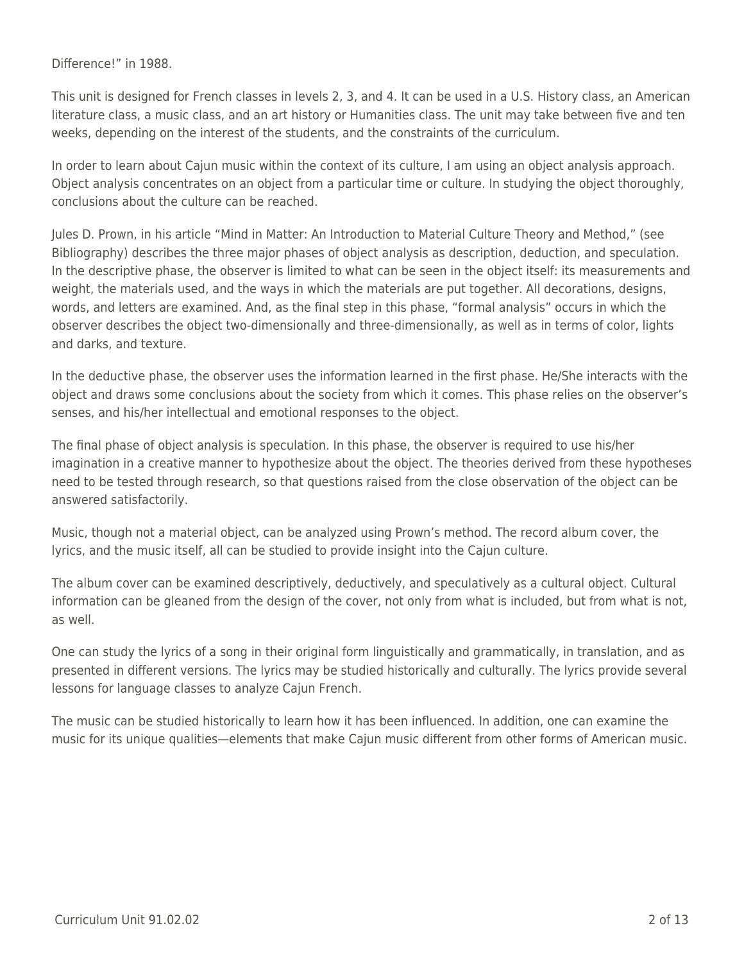Difference!" in 1988.

This unit is designed for French classes in levels 2, 3, and 4. It can be used in a U.S. History class, an American literature class, a music class, and an art history or Humanities class. The unit may take between five and ten weeks, depending on the interest of the students, and the constraints of the curriculum.

In order to learn about Cajun music within the context of its culture, I am using an object analysis approach. Object analysis concentrates on an object from a particular time or culture. In studying the object thoroughly, conclusions about the culture can be reached.

Jules D. Prown, in his article "Mind in Matter: An Introduction to Material Culture Theory and Method," (see Bibliography) describes the three major phases of object analysis as description, deduction, and speculation. In the descriptive phase, the observer is limited to what can be seen in the object itself: its measurements and weight, the materials used, and the ways in which the materials are put together. All decorations, designs, words, and letters are examined. And, as the final step in this phase, "formal analysis" occurs in which the observer describes the object two-dimensionally and three-dimensionally, as well as in terms of color, lights and darks, and texture.

In the deductive phase, the observer uses the information learned in the first phase. He/She interacts with the object and draws some conclusions about the society from which it comes. This phase relies on the observer's senses, and his/her intellectual and emotional responses to the object.

The final phase of object analysis is speculation. In this phase, the observer is required to use his/her imagination in a creative manner to hypothesize about the object. The theories derived from these hypotheses need to be tested through research, so that questions raised from the close observation of the object can be answered satisfactorily.

Music, though not a material object, can be analyzed using Prown's method. The record album cover, the lyrics, and the music itself, all can be studied to provide insight into the Cajun culture.

The album cover can be examined descriptively, deductively, and speculatively as a cultural object. Cultural information can be gleaned from the design of the cover, not only from what is included, but from what is not, as well.

One can study the lyrics of a song in their original form linguistically and grammatically, in translation, and as presented in different versions. The lyrics may be studied historically and culturally. The lyrics provide several lessons for language classes to analyze Cajun French.

The music can be studied historically to learn how it has been influenced. In addition, one can examine the music for its unique qualities—elements that make Cajun music different from other forms of American music.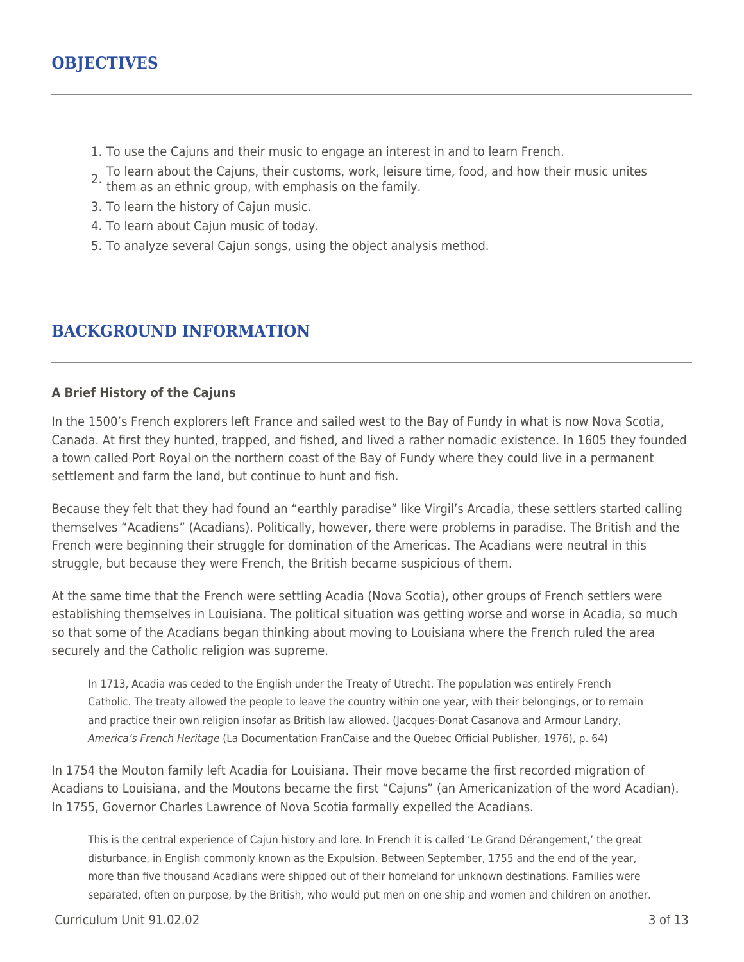- 1. To use the Cajuns and their music to engage an interest in and to learn French.
- 2. To learn about the Cajuns, their customs, work, leisure time, food, and how their music unites them as an ethnic group, with emphasis on the family.
- 
- 3. To learn the history of Cajun music.
- 4. To learn about Cajun music of today.
- 5. To analyze several Cajun songs, using the object analysis method.

### **BACKGROUND INFORMATION**

#### **A Brief History of the Cajuns**

In the 1500's French explorers left France and sailed west to the Bay of Fundy in what is now Nova Scotia, Canada. At first they hunted, trapped, and fished, and lived a rather nomadic existence. In 1605 they founded a town called Port Royal on the northern coast of the Bay of Fundy where they could live in a permanent settlement and farm the land, but continue to hunt and fish.

Because they felt that they had found an "earthly paradise" like Virgil's Arcadia, these settlers started calling themselves "Acadiens" (Acadians). Politically, however, there were problems in paradise. The British and the French were beginning their struggle for domination of the Americas. The Acadians were neutral in this struggle, but because they were French, the British became suspicious of them.

At the same time that the French were settling Acadia (Nova Scotia), other groups of French settlers were establishing themselves in Louisiana. The political situation was getting worse and worse in Acadia, so much so that some of the Acadians began thinking about moving to Louisiana where the French ruled the area securely and the Catholic religion was supreme.

In 1713, Acadia was ceded to the English under the Treaty of Utrecht. The population was entirely French Catholic. The treaty allowed the people to leave the country within one year, with their belongings, or to remain and practice their own religion insofar as British law allowed. (Jacques-Donat Casanova and Armour Landry, America's French Heritage (La Documentation FranCaise and the Quebec Official Publisher, 1976), p. 64)

In 1754 the Mouton family left Acadia for Louisiana. Their move became the first recorded migration of Acadians to Louisiana, and the Moutons became the first "Cajuns" (an Americanization of the word Acadian). In 1755, Governor Charles Lawrence of Nova Scotia formally expelled the Acadians.

This is the central experience of Cajun history and lore. In French it is called 'Le Grand Dérangement,' the great disturbance, in English commonly known as the Expulsion. Between September, 1755 and the end of the year, more than five thousand Acadians were shipped out of their homeland for unknown destinations. Families were separated, often on purpose, by the British, who would put men on one ship and women and children on another.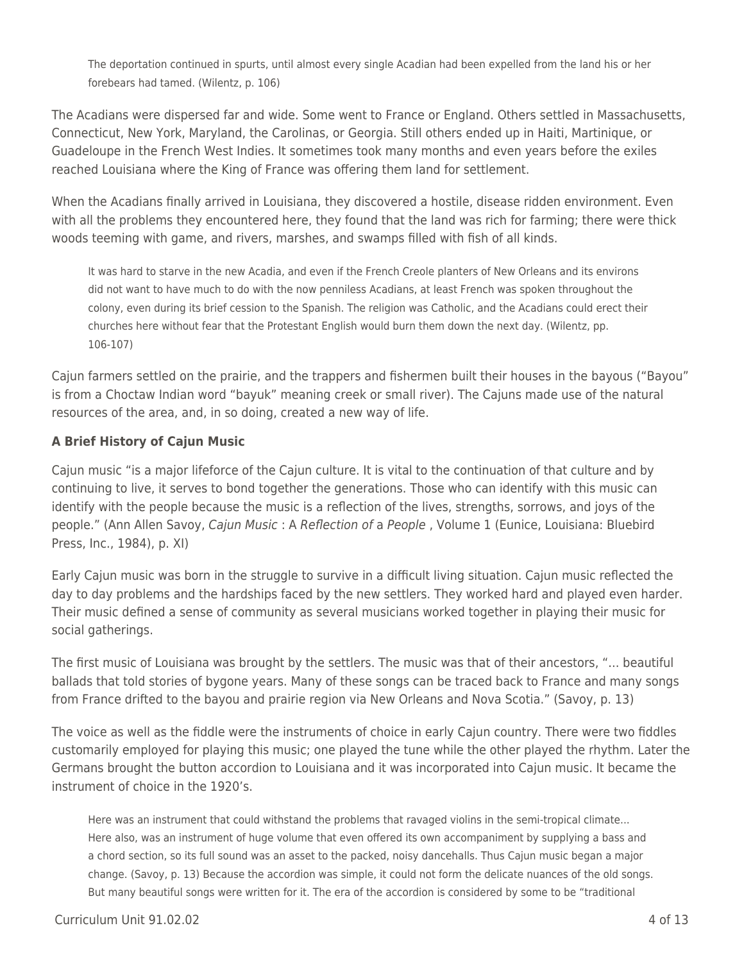The deportation continued in spurts, until almost every single Acadian had been expelled from the land his or her forebears had tamed. (Wilentz, p. 106)

The Acadians were dispersed far and wide. Some went to France or England. Others settled in Massachusetts, Connecticut, New York, Maryland, the Carolinas, or Georgia. Still others ended up in Haiti, Martinique, or Guadeloupe in the French West Indies. It sometimes took many months and even years before the exiles reached Louisiana where the King of France was offering them land for settlement.

When the Acadians finally arrived in Louisiana, they discovered a hostile, disease ridden environment. Even with all the problems they encountered here, they found that the land was rich for farming; there were thick woods teeming with game, and rivers, marshes, and swamps filled with fish of all kinds.

It was hard to starve in the new Acadia, and even if the French Creole planters of New Orleans and its environs did not want to have much to do with the now penniless Acadians, at least French was spoken throughout the colony, even during its brief cession to the Spanish. The religion was Catholic, and the Acadians could erect their churches here without fear that the Protestant English would burn them down the next day. (Wilentz, pp. 106-107)

Cajun farmers settled on the prairie, and the trappers and fishermen built their houses in the bayous ("Bayou" is from a Choctaw Indian word "bayuk" meaning creek or small river). The Cajuns made use of the natural resources of the area, and, in so doing, created a new way of life.

#### **A Brief History of Cajun Music**

Cajun music "is a major lifeforce of the Cajun culture. It is vital to the continuation of that culture and by continuing to live, it serves to bond together the generations. Those who can identify with this music can identify with the people because the music is a reflection of the lives, strengths, sorrows, and joys of the people." (Ann Allen Savoy, Cajun Music : A Reflection of a People, Volume 1 (Eunice, Louisiana: Bluebird Press, Inc., 1984), p. XI)

Early Cajun music was born in the struggle to survive in a difficult living situation. Cajun music reflected the day to day problems and the hardships faced by the new settlers. They worked hard and played even harder. Their music defined a sense of community as several musicians worked together in playing their music for social gatherings.

The first music of Louisiana was brought by the settlers. The music was that of their ancestors, "... beautiful ballads that told stories of bygone years. Many of these songs can be traced back to France and many songs from France drifted to the bayou and prairie region via New Orleans and Nova Scotia." (Savoy, p. 13)

The voice as well as the fiddle were the instruments of choice in early Cajun country. There were two fiddles customarily employed for playing this music; one played the tune while the other played the rhythm. Later the Germans brought the button accordion to Louisiana and it was incorporated into Cajun music. It became the instrument of choice in the 1920's.

Here was an instrument that could withstand the problems that ravaged violins in the semi-tropical climate... Here also, was an instrument of huge volume that even offered its own accompaniment by supplying a bass and a chord section, so its full sound was an asset to the packed, noisy dancehalls. Thus Cajun music began a major change. (Savoy, p. 13) Because the accordion was simple, it could not form the delicate nuances of the old songs. But many beautiful songs were written for it. The era of the accordion is considered by some to be "traditional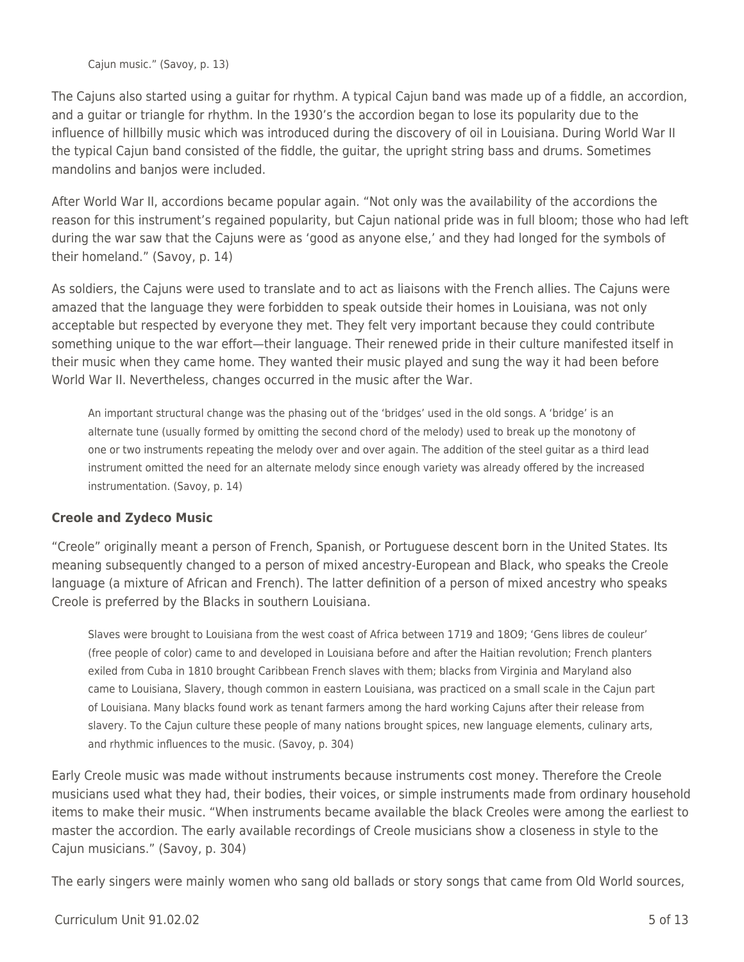Cajun music." (Savoy, p. 13)

The Cajuns also started using a guitar for rhythm. A typical Cajun band was made up of a fiddle, an accordion, and a guitar or triangle for rhythm. In the 1930's the accordion began to lose its popularity due to the influence of hillbilly music which was introduced during the discovery of oil in Louisiana. During World War II the typical Cajun band consisted of the fiddle, the guitar, the upright string bass and drums. Sometimes mandolins and banjos were included.

After World War II, accordions became popular again. "Not only was the availability of the accordions the reason for this instrument's regained popularity, but Cajun national pride was in full bloom; those who had left during the war saw that the Cajuns were as 'good as anyone else,' and they had longed for the symbols of their homeland." (Savoy, p. 14)

As soldiers, the Cajuns were used to translate and to act as liaisons with the French allies. The Cajuns were amazed that the language they were forbidden to speak outside their homes in Louisiana, was not only acceptable but respected by everyone they met. They felt very important because they could contribute something unique to the war effort—their language. Their renewed pride in their culture manifested itself in their music when they came home. They wanted their music played and sung the way it had been before World War II. Nevertheless, changes occurred in the music after the War.

An important structural change was the phasing out of the 'bridges' used in the old songs. A 'bridge' is an alternate tune (usually formed by omitting the second chord of the melody) used to break up the monotony of one or two instruments repeating the melody over and over again. The addition of the steel guitar as a third lead instrument omitted the need for an alternate melody since enough variety was already offered by the increased instrumentation. (Savoy, p. 14)

#### **Creole and Zydeco Music**

"Creole" originally meant a person of French, Spanish, or Portuguese descent born in the United States. Its meaning subsequently changed to a person of mixed ancestry-European and Black, who speaks the Creole language (a mixture of African and French). The latter definition of a person of mixed ancestry who speaks Creole is preferred by the Blacks in southern Louisiana.

Slaves were brought to Louisiana from the west coast of Africa between 1719 and 18O9; 'Gens libres de couleur' (free people of color) came to and developed in Louisiana before and after the Haitian revolution; French planters exiled from Cuba in 1810 brought Caribbean French slaves with them; blacks from Virginia and Maryland also came to Louisiana, Slavery, though common in eastern Louisiana, was practiced on a small scale in the Cajun part of Louisiana. Many blacks found work as tenant farmers among the hard working Cajuns after their release from slavery. To the Cajun culture these people of many nations brought spices, new language elements, culinary arts, and rhythmic influences to the music. (Savoy, p. 304)

Early Creole music was made without instruments because instruments cost money. Therefore the Creole musicians used what they had, their bodies, their voices, or simple instruments made from ordinary household items to make their music. "When instruments became available the black Creoles were among the earliest to master the accordion. The early available recordings of Creole musicians show a closeness in style to the Cajun musicians." (Savoy, p. 304)

The early singers were mainly women who sang old ballads or story songs that came from Old World sources,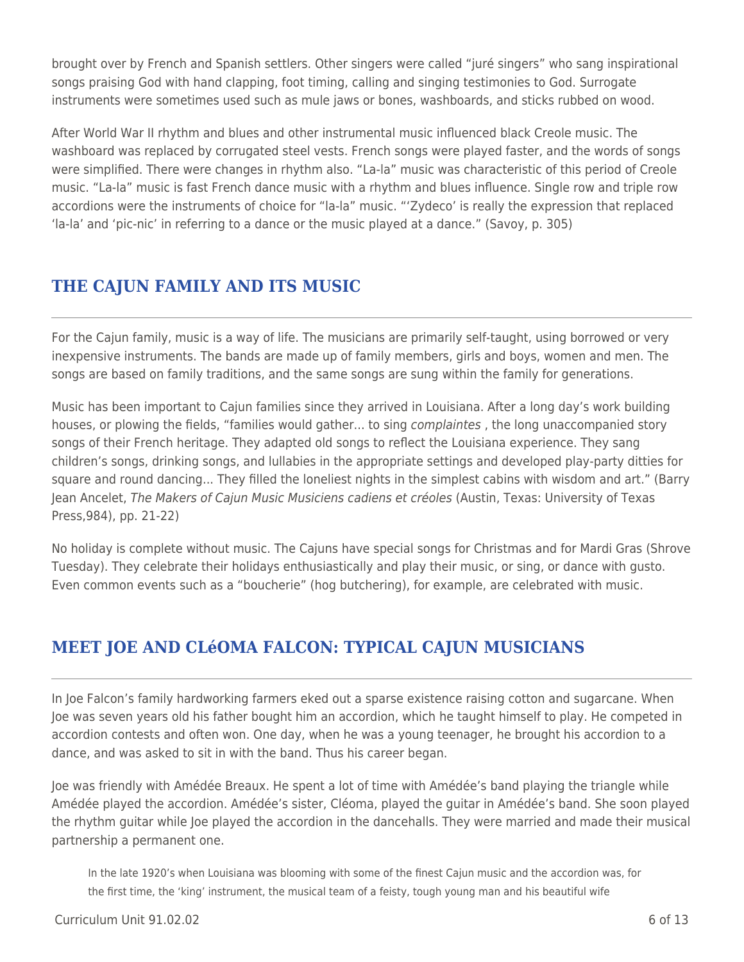brought over by French and Spanish settlers. Other singers were called "juré singers" who sang inspirational songs praising God with hand clapping, foot timing, calling and singing testimonies to God. Surrogate instruments were sometimes used such as mule jaws or bones, washboards, and sticks rubbed on wood.

After World War II rhythm and blues and other instrumental music influenced black Creole music. The washboard was replaced by corrugated steel vests. French songs were played faster, and the words of songs were simplified. There were changes in rhythm also. "La-la" music was characteristic of this period of Creole music. "La-la" music is fast French dance music with a rhythm and blues influence. Single row and triple row accordions were the instruments of choice for "la-la" music. "'Zydeco' is really the expression that replaced 'la-la' and 'pic-nic' in referring to a dance or the music played at a dance." (Savoy, p. 305)

## **THE CAJUN FAMILY AND ITS MUSIC**

For the Cajun family, music is a way of life. The musicians are primarily self-taught, using borrowed or very inexpensive instruments. The bands are made up of family members, girls and boys, women and men. The songs are based on family traditions, and the same songs are sung within the family for generations.

Music has been important to Cajun families since they arrived in Louisiana. After a long day's work building houses, or plowing the fields, "families would gather... to sing *complaintes*, the long unaccompanied story songs of their French heritage. They adapted old songs to reflect the Louisiana experience. They sang children's songs, drinking songs, and lullabies in the appropriate settings and developed play-party ditties for square and round dancing... They filled the loneliest nights in the simplest cabins with wisdom and art." (Barry Jean Ancelet, The Makers of Cajun Music Musiciens cadiens et créoles (Austin, Texas: University of Texas Press,984), pp. 21-22)

No holiday is complete without music. The Cajuns have special songs for Christmas and for Mardi Gras (Shrove Tuesday). They celebrate their holidays enthusiastically and play their music, or sing, or dance with gusto. Even common events such as a "boucherie" (hog butchering), for example, are celebrated with music.

## **MEET JOE AND CLéOMA FALCON: TYPICAL CAJUN MUSICIANS**

In Joe Falcon's family hardworking farmers eked out a sparse existence raising cotton and sugarcane. When Joe was seven years old his father bought him an accordion, which he taught himself to play. He competed in accordion contests and often won. One day, when he was a young teenager, he brought his accordion to a dance, and was asked to sit in with the band. Thus his career began.

Joe was friendly with Amédée Breaux. He spent a lot of time with Amédée's band playing the triangle while Amédée played the accordion. Amédée's sister, Cléoma, played the guitar in Amédée's band. She soon played the rhythm guitar while Joe played the accordion in the dancehalls. They were married and made their musical partnership a permanent one.

In the late 1920's when Louisiana was blooming with some of the finest Cajun music and the accordion was, for the first time, the 'king' instrument, the musical team of a feisty, tough young man and his beautiful wife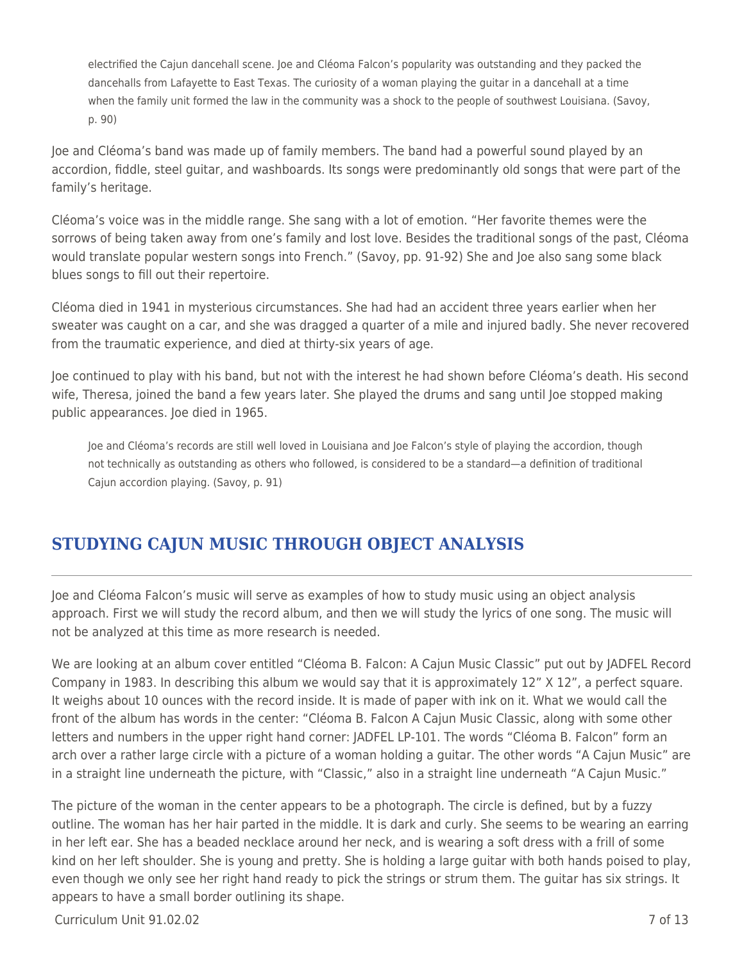electrified the Cajun dancehall scene. Joe and Cléoma Falcon's popularity was outstanding and they packed the dancehalls from Lafayette to East Texas. The curiosity of a woman playing the guitar in a dancehall at a time when the family unit formed the law in the community was a shock to the people of southwest Louisiana. (Savoy, p. 90)

Joe and Cléoma's band was made up of family members. The band had a powerful sound played by an accordion, fiddle, steel guitar, and washboards. Its songs were predominantly old songs that were part of the family's heritage.

Cléoma's voice was in the middle range. She sang with a lot of emotion. "Her favorite themes were the sorrows of being taken away from one's family and lost love. Besides the traditional songs of the past, Cléoma would translate popular western songs into French." (Savoy, pp. 91-92) She and Joe also sang some black blues songs to fill out their repertoire.

Cléoma died in 1941 in mysterious circumstances. She had had an accident three years earlier when her sweater was caught on a car, and she was dragged a quarter of a mile and injured badly. She never recovered from the traumatic experience, and died at thirty-six years of age.

Joe continued to play with his band, but not with the interest he had shown before Cléoma's death. His second wife, Theresa, joined the band a few years later. She played the drums and sang until Joe stopped making public appearances. Joe died in 1965.

Joe and Cléoma's records are still well loved in Louisiana and Joe Falcon's style of playing the accordion, though not technically as outstanding as others who followed, is considered to be a standard—a definition of traditional Cajun accordion playing. (Savoy, p. 91)

## **STUDYING CAJUN MUSIC THROUGH OBJECT ANALYSIS**

Joe and Cléoma Falcon's music will serve as examples of how to study music using an object analysis approach. First we will study the record album, and then we will study the lyrics of one song. The music will not be analyzed at this time as more research is needed.

We are looking at an album cover entitled "Cléoma B. Falcon: A Cajun Music Classic" put out by JADFEL Record Company in 1983. In describing this album we would say that it is approximately 12" X 12", a perfect square. It weighs about 10 ounces with the record inside. It is made of paper with ink on it. What we would call the front of the album has words in the center: "Cléoma B. Falcon A Cajun Music Classic, along with some other letters and numbers in the upper right hand corner: JADFEL LP-101. The words "Cléoma B. Falcon" form an arch over a rather large circle with a picture of a woman holding a guitar. The other words "A Cajun Music" are in a straight line underneath the picture, with "Classic," also in a straight line underneath "A Cajun Music."

The picture of the woman in the center appears to be a photograph. The circle is defined, but by a fuzzy outline. The woman has her hair parted in the middle. It is dark and curly. She seems to be wearing an earring in her left ear. She has a beaded necklace around her neck, and is wearing a soft dress with a frill of some kind on her left shoulder. She is young and pretty. She is holding a large guitar with both hands poised to play, even though we only see her right hand ready to pick the strings or strum them. The guitar has six strings. It appears to have a small border outlining its shape.

 $C$ urriculum Unit 91.02.02  $\qquad \qquad$  7 of 13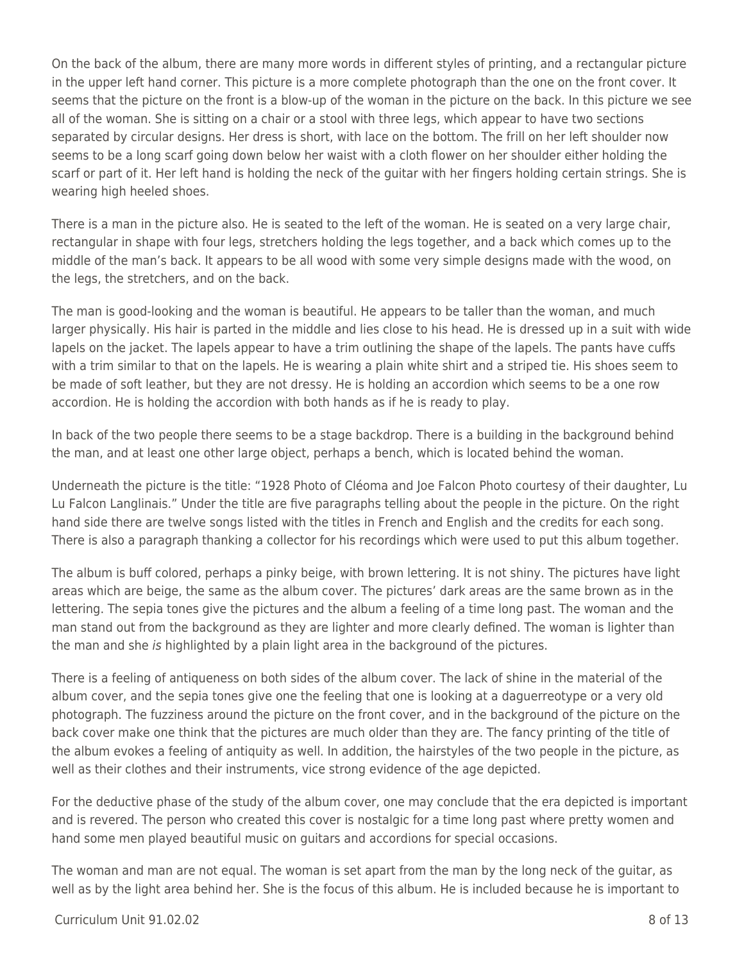On the back of the album, there are many more words in different styles of printing, and a rectangular picture in the upper left hand corner. This picture is a more complete photograph than the one on the front cover. It seems that the picture on the front is a blow-up of the woman in the picture on the back. In this picture we see all of the woman. She is sitting on a chair or a stool with three legs, which appear to have two sections separated by circular designs. Her dress is short, with lace on the bottom. The frill on her left shoulder now seems to be a long scarf going down below her waist with a cloth flower on her shoulder either holding the scarf or part of it. Her left hand is holding the neck of the guitar with her fingers holding certain strings. She is wearing high heeled shoes.

There is a man in the picture also. He is seated to the left of the woman. He is seated on a very large chair, rectangular in shape with four legs, stretchers holding the legs together, and a back which comes up to the middle of the man's back. It appears to be all wood with some very simple designs made with the wood, on the legs, the stretchers, and on the back.

The man is good-looking and the woman is beautiful. He appears to be taller than the woman, and much larger physically. His hair is parted in the middle and lies close to his head. He is dressed up in a suit with wide lapels on the jacket. The lapels appear to have a trim outlining the shape of the lapels. The pants have cuffs with a trim similar to that on the lapels. He is wearing a plain white shirt and a striped tie. His shoes seem to be made of soft leather, but they are not dressy. He is holding an accordion which seems to be a one row accordion. He is holding the accordion with both hands as if he is ready to play.

In back of the two people there seems to be a stage backdrop. There is a building in the background behind the man, and at least one other large object, perhaps a bench, which is located behind the woman.

Underneath the picture is the title: "1928 Photo of Cléoma and Joe Falcon Photo courtesy of their daughter, Lu Lu Falcon Langlinais." Under the title are five paragraphs telling about the people in the picture. On the right hand side there are twelve songs listed with the titles in French and English and the credits for each song. There is also a paragraph thanking a collector for his recordings which were used to put this album together.

The album is buff colored, perhaps a pinky beige, with brown lettering. It is not shiny. The pictures have light areas which are beige, the same as the album cover. The pictures' dark areas are the same brown as in the lettering. The sepia tones give the pictures and the album a feeling of a time long past. The woman and the man stand out from the background as they are lighter and more clearly defined. The woman is lighter than the man and she is highlighted by a plain light area in the background of the pictures.

There is a feeling of antiqueness on both sides of the album cover. The lack of shine in the material of the album cover, and the sepia tones give one the feeling that one is looking at a daguerreotype or a very old photograph. The fuzziness around the picture on the front cover, and in the background of the picture on the back cover make one think that the pictures are much older than they are. The fancy printing of the title of the album evokes a feeling of antiquity as well. In addition, the hairstyles of the two people in the picture, as well as their clothes and their instruments, vice strong evidence of the age depicted.

For the deductive phase of the study of the album cover, one may conclude that the era depicted is important and is revered. The person who created this cover is nostalgic for a time long past where pretty women and hand some men played beautiful music on guitars and accordions for special occasions.

The woman and man are not equal. The woman is set apart from the man by the long neck of the guitar, as well as by the light area behind her. She is the focus of this album. He is included because he is important to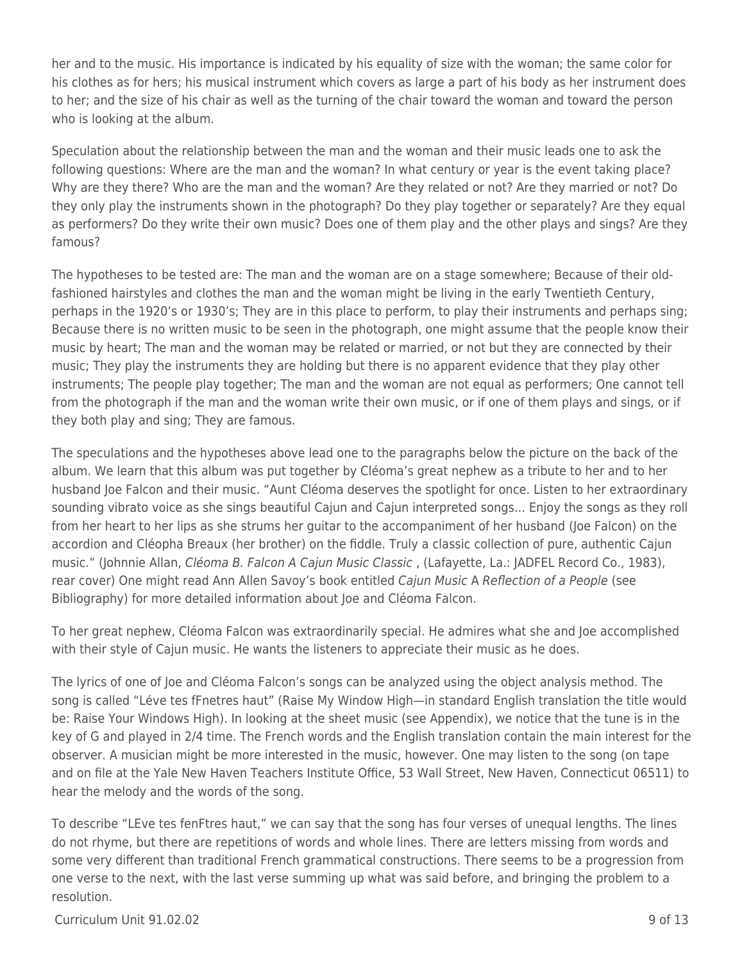her and to the music. His importance is indicated by his equality of size with the woman; the same color for his clothes as for hers; his musical instrument which covers as large a part of his body as her instrument does to her; and the size of his chair as well as the turning of the chair toward the woman and toward the person who is looking at the album.

Speculation about the relationship between the man and the woman and their music leads one to ask the following questions: Where are the man and the woman? In what century or year is the event taking place? Why are they there? Who are the man and the woman? Are they related or not? Are they married or not? Do they only play the instruments shown in the photograph? Do they play together or separately? Are they equal as performers? Do they write their own music? Does one of them play and the other plays and sings? Are they famous?

The hypotheses to be tested are: The man and the woman are on a stage somewhere; Because of their oldfashioned hairstyles and clothes the man and the woman might be living in the early Twentieth Century, perhaps in the 1920's or 1930's; They are in this place to perform, to play their instruments and perhaps sing; Because there is no written music to be seen in the photograph, one might assume that the people know their music by heart; The man and the woman may be related or married, or not but they are connected by their music; They play the instruments they are holding but there is no apparent evidence that they play other instruments; The people play together; The man and the woman are not equal as performers; One cannot tell from the photograph if the man and the woman write their own music, or if one of them plays and sings, or if they both play and sing; They are famous.

The speculations and the hypotheses above lead one to the paragraphs below the picture on the back of the album. We learn that this album was put together by Cléoma's great nephew as a tribute to her and to her husband Joe Falcon and their music. "Aunt Cléoma deserves the spotlight for once. Listen to her extraordinary sounding vibrato voice as she sings beautiful Cajun and Cajun interpreted songs... Enjoy the songs as they roll from her heart to her lips as she strums her guitar to the accompaniment of her husband (Joe Falcon) on the accordion and Cléopha Breaux (her brother) on the fiddle. Truly a classic collection of pure, authentic Cajun music." (Johnnie Allan, Cléoma B. Falcon A Cajun Music Classic , (Lafayette, La.: JADFEL Record Co., 1983), rear cover) One might read Ann Allen Savoy's book entitled Cajun Music A Reflection of a People (see Bibliography) for more detailed information about Joe and Cléoma Falcon.

To her great nephew, Cléoma Falcon was extraordinarily special. He admires what she and Joe accomplished with their style of Cajun music. He wants the listeners to appreciate their music as he does.

The lyrics of one of Joe and Cléoma Falcon's songs can be analyzed using the object analysis method. The song is called "Léve tes fFnetres haut" (Raise My Window High—in standard English translation the title would be: Raise Your Windows High). In looking at the sheet music (see Appendix), we notice that the tune is in the key of G and played in 2/4 time. The French words and the English translation contain the main interest for the observer. A musician might be more interested in the music, however. One may listen to the song (on tape and on file at the Yale New Haven Teachers Institute Office, 53 Wall Street, New Haven, Connecticut 06511) to hear the melody and the words of the song.

To describe "LEve tes fenFtres haut," we can say that the song has four verses of unequal lengths. The lines do not rhyme, but there are repetitions of words and whole lines. There are letters missing from words and some very different than traditional French grammatical constructions. There seems to be a progression from one verse to the next, with the last verse summing up what was said before, and bringing the problem to a resolution.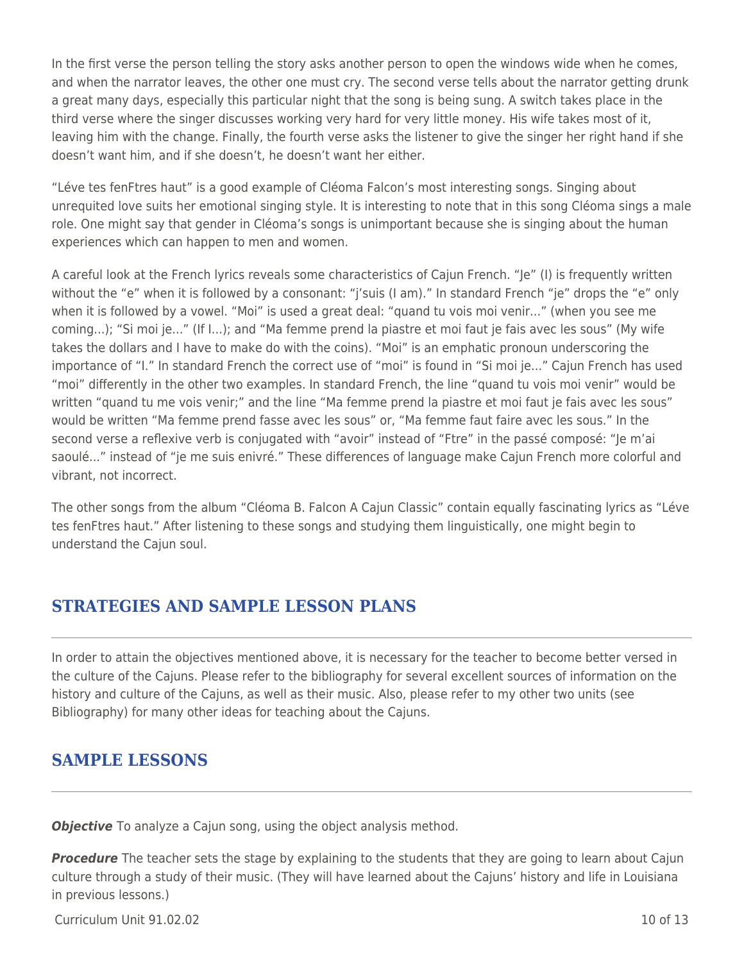In the first verse the person telling the story asks another person to open the windows wide when he comes, and when the narrator leaves, the other one must cry. The second verse tells about the narrator getting drunk a great many days, especially this particular night that the song is being sung. A switch takes place in the third verse where the singer discusses working very hard for very little money. His wife takes most of it, leaving him with the change. Finally, the fourth verse asks the listener to give the singer her right hand if she doesn't want him, and if she doesn't, he doesn't want her either.

"Léve tes fenFtres haut" is a good example of Cléoma Falcon's most interesting songs. Singing about unrequited love suits her emotional singing style. It is interesting to note that in this song Cléoma sings a male role. One might say that gender in Cléoma's songs is unimportant because she is singing about the human experiences which can happen to men and women.

A careful look at the French lyrics reveals some characteristics of Cajun French. "Je" (I) is frequently written without the "e" when it is followed by a consonant: "j'suis (I am)." In standard French "je" drops the "e" only when it is followed by a vowel. "Moi" is used a great deal: "quand tu vois moi venir..." (when you see me coming...); "Si moi je..." (If I...); and "Ma femme prend la piastre et moi faut je fais avec les sous" (My wife takes the dollars and I have to make do with the coins). "Moi" is an emphatic pronoun underscoring the importance of "I." In standard French the correct use of "moi" is found in "Si moi je..." Cajun French has used "moi" differently in the other two examples. In standard French, the line "quand tu vois moi venir" would be written "quand tu me vois venir;" and the line "Ma femme prend la piastre et moi faut je fais avec les sous" would be written "Ma femme prend fasse avec les sous" or, "Ma femme faut faire avec les sous." In the second verse a reflexive verb is conjugated with "avoir" instead of "Ftre" in the passé composé: "Je m'ai saoulé..." instead of "je me suis enivré." These differences of language make Cajun French more colorful and vibrant, not incorrect.

The other songs from the album "Cléoma B. Falcon A Cajun Classic" contain equally fascinating lyrics as "Léve tes fenFtres haut." After listening to these songs and studying them linguistically, one might begin to understand the Cajun soul.

### **STRATEGIES AND SAMPLE LESSON PLANS**

In order to attain the objectives mentioned above, it is necessary for the teacher to become better versed in the culture of the Cajuns. Please refer to the bibliography for several excellent sources of information on the history and culture of the Cajuns, as well as their music. Also, please refer to my other two units (see Bibliography) for many other ideas for teaching about the Cajuns.

### **SAMPLE LESSONS**

**Objective** To analyze a Cajun song, using the object analysis method.

**Procedure** The teacher sets the stage by explaining to the students that they are going to learn about Cajun culture through a study of their music. (They will have learned about the Cajuns' history and life in Louisiana in previous lessons.)

 $C$ urriculum Unit 91.02.02  $\qquad \qquad$  10 of 13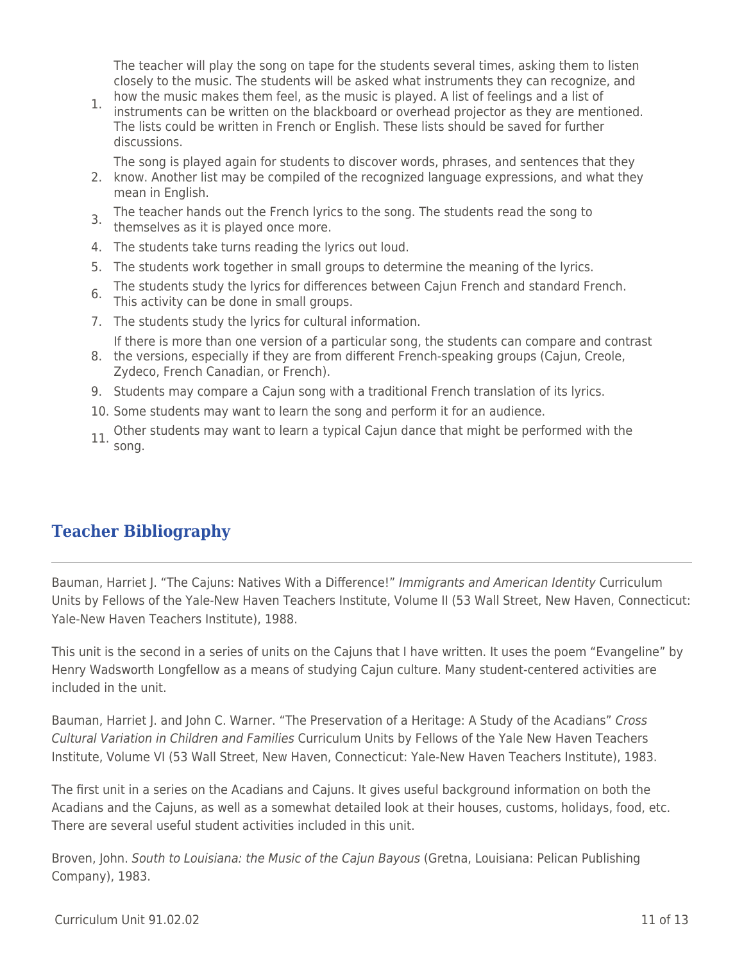The teacher will play the song on tape for the students several times, asking them to listen closely to the music. The students will be asked what instruments they can recognize, and how the music makes them feel, as the music is played. A list of feelings and a list of

1. instruments can be written on the blackboard or overhead projector as they are mentioned. The lists could be written in French or English. These lists should be saved for further discussions.

The song is played again for students to discover words, phrases, and sentences that they

- 2. know. Another list may be compiled of the recognized language expressions, and what they mean in English.
- 3. The teacher hands out the French lyrics to the song. The students read the song to themselves as it is played once more.
- 
- 4. The students take turns reading the lyrics out loud.
- 5. The students work together in small groups to determine the meaning of the lyrics.
- The students study the lyrics for differences between Cajun French and standard French. 6. This activity can be done in small groups.
- 7. The students study the lyrics for cultural information.
	- If there is more than one version of a particular song, the students can compare and contrast
- 8. the versions, especially if they are from different French-speaking groups (Cajun, Creole, Zydeco, French Canadian, or French).
- 9. Students may compare a Cajun song with a traditional French translation of its lyrics.
- 10. Some students may want to learn the song and perform it for an audience.
- 11. Other students may want to learn a typical Cajun dance that might be performed with the song.

### **Teacher Bibliography**

Bauman, Harriet J. "The Cajuns: Natives With a Difference!" Immigrants and American Identity Curriculum Units by Fellows of the Yale-New Haven Teachers Institute, Volume II (53 Wall Street, New Haven, Connecticut: Yale-New Haven Teachers Institute), 1988.

This unit is the second in a series of units on the Cajuns that I have written. It uses the poem "Evangeline" by Henry Wadsworth Longfellow as a means of studying Cajun culture. Many student-centered activities are included in the unit.

Bauman, Harriet J. and John C. Warner. "The Preservation of a Heritage: A Study of the Acadians" Cross Cultural Variation in Children and Families Curriculum Units by Fellows of the Yale New Haven Teachers Institute, Volume VI (53 Wall Street, New Haven, Connecticut: Yale-New Haven Teachers Institute), 1983.

The first unit in a series on the Acadians and Cajuns. It gives useful background information on both the Acadians and the Cajuns, as well as a somewhat detailed look at their houses, customs, holidays, food, etc. There are several useful student activities included in this unit.

Broven, John. South to Louisiana: the Music of the Cajun Bayous (Gretna, Louisiana: Pelican Publishing Company), 1983.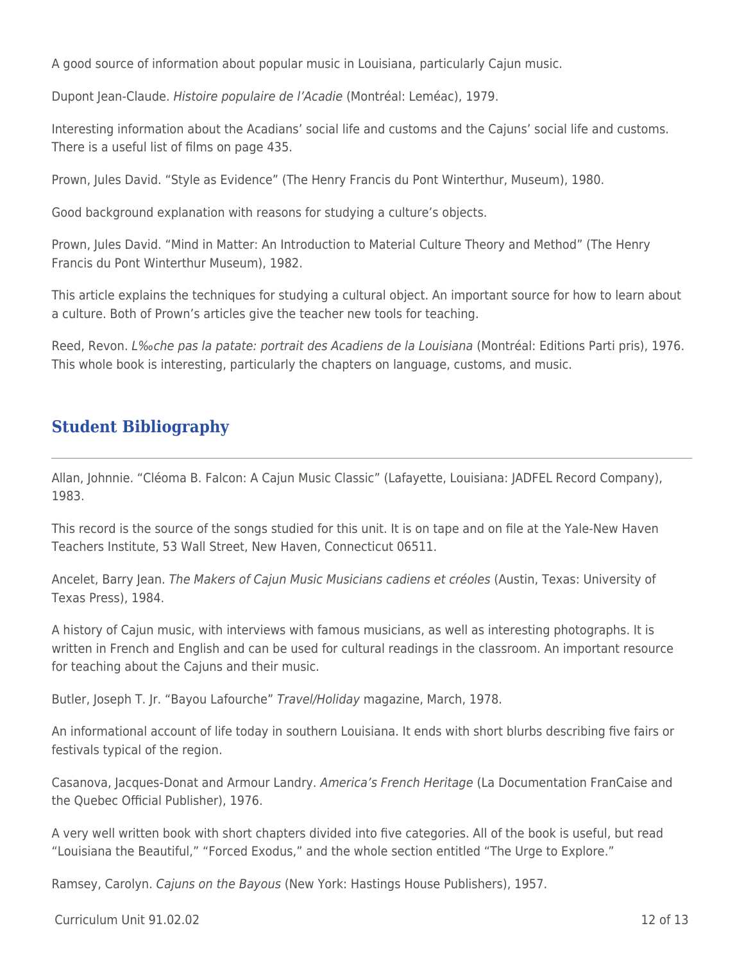A good source of information about popular music in Louisiana, particularly Cajun music.

Dupont Jean-Claude. Histoire populaire de l'Acadie (Montréal: Leméac), 1979.

Interesting information about the Acadians' social life and customs and the Cajuns' social life and customs. There is a useful list of films on page 435.

Prown, Jules David. "Style as Evidence" (The Henry Francis du Pont Winterthur, Museum), 1980.

Good background explanation with reasons for studying a culture's objects.

Prown, Jules David. "Mind in Matter: An Introduction to Material Culture Theory and Method" (The Henry Francis du Pont Winterthur Museum), 1982.

This article explains the techniques for studying a cultural object. An important source for how to learn about a culture. Both of Prown's articles give the teacher new tools for teaching.

Reed, Revon. L‰che pas la patate: portrait des Acadiens de la Louisiana (Montréal: Editions Parti pris), 1976. This whole book is interesting, particularly the chapters on language, customs, and music.

### **Student Bibliography**

Allan, Johnnie. "Cléoma B. Falcon: A Cajun Music Classic" (Lafayette, Louisiana: JADFEL Record Company), 1983.

This record is the source of the songs studied for this unit. It is on tape and on file at the Yale-New Haven Teachers Institute, 53 Wall Street, New Haven, Connecticut 06511.

Ancelet, Barry Jean. The Makers of Cajun Music Musicians cadiens et créoles (Austin, Texas: University of Texas Press), 1984.

A history of Cajun music, with interviews with famous musicians, as well as interesting photographs. It is written in French and English and can be used for cultural readings in the classroom. An important resource for teaching about the Cajuns and their music.

Butler, Joseph T. Jr. "Bayou Lafourche" Travel/Holiday magazine, March, 1978.

An informational account of life today in southern Louisiana. It ends with short blurbs describing five fairs or festivals typical of the region.

Casanova, Jacques-Donat and Armour Landry. America's French Heritage (La Documentation FranCaise and the Quebec Official Publisher), 1976.

A very well written book with short chapters divided into five categories. All of the book is useful, but read "Louisiana the Beautiful," "Forced Exodus," and the whole section entitled "The Urge to Explore."

Ramsey, Carolyn. Cajuns on the Bayous (New York: Hastings House Publishers), 1957.

Curriculum Unit 91.02.02 12 of 13